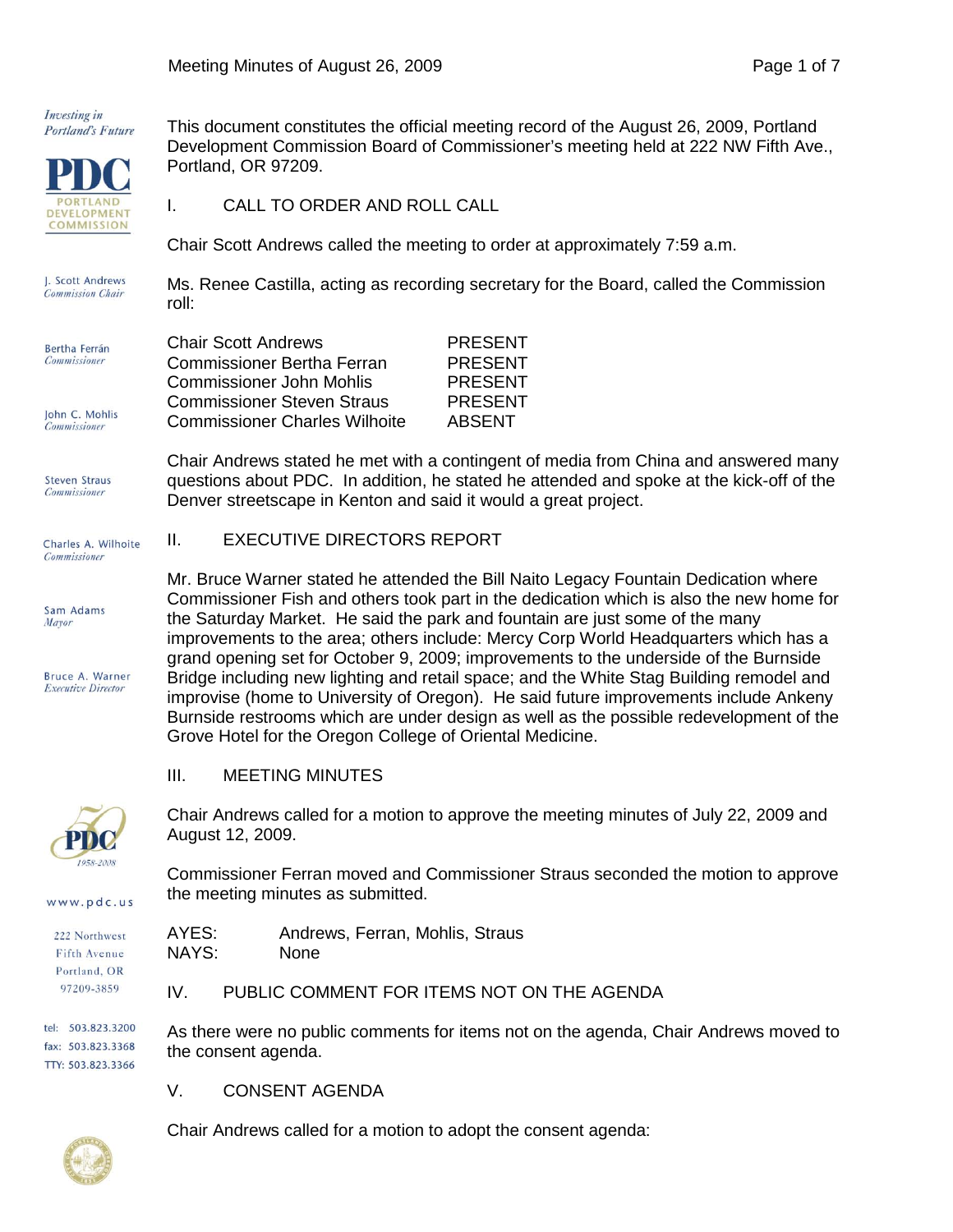Investing in Portland's Future



This document constitutes the official meeting record of the August 26, 2009, Portland Development Commission Board of Commissioner's meeting held at 222 NW Fifth Ave., Portland, OR 97209.

I. CALL TO ORDER AND ROLL CALL

Chair Scott Andrews PRESENT Commissioner Bertha Ferran PRESENT Commissioner John Mohlis PRESENT Commissioner Steven Straus PRESENT Commissioner Charles Wilhoite ABSENT

Denver streetscape in Kenton and said it would a great project.

Chair Scott Andrews called the meeting to order at approximately 7:59 a.m.

J. Scott Andrews Ms. Renee Castilla, acting as recording secretary for the Board, called the Commission **Commission Chair** roll:

| Bertha Ferrán       |  |
|---------------------|--|
| <b>Commissioner</b> |  |

John C. Mohlis **Commissioner** 

**Steven Straus Commissioner** 

Charles A. Wilhoite **Commissioner** 

Sam Adams Mayor

**Bruce A Warner Executive Director** 



www.pdc.us

Fifth Ave Portland, OR 97209-3859

Chair Andrews called for a motion to approve the meeting minutes of July 22, 2009 and August 12, 2009.

Commissioner Ferran moved and Commissioner Straus seconded the motion to approve the meeting minutes as submitted.

| 222 Northwest       | AYES:             | Andrews, Ferran, Mohlis, Straus |
|---------------------|-------------------|---------------------------------|
| <b>Fifth Avenue</b> | NAYS <sup>.</sup> | <b>None</b>                     |

NAYS:

IV. PUBLIC COMMENT FOR ITEMS NOT ON THE AGENDA

tel: 503.823.3200 fax: 503.823.3368 TTY: 503.823.3366

As there were no public comments for items not on the agenda, Chair Andrews moved to the consent agenda.

V. CONSENT AGENDA



Chair Andrews called for a motion to adopt the consent agenda:

II. EXECUTIVE DIRECTORS REPORT Mr. Bruce Warner stated he attended the Bill Naito Legacy Fountain Dedication where Commissioner Fish and others took part in the dedication which is also the new home for the Saturday Market. He said the park and fountain are just some of the many improvements to the area; others include: Mercy Corp World Headquarters which has a grand opening set for October 9, 2009; improvements to the underside of the Burnside Bridge including new lighting and retail space; and the White Stag Building remodel and improvise (home to University of Oregon). He said future improvements include Ankeny Burnside restrooms which are under design as well as the possible redevelopment of the Grove Hotel for the Oregon College of Oriental Medicine.

Chair Andrews stated he met with a contingent of media from China and answered many questions about PDC. In addition, he stated he attended and spoke at the kick-off of the

## III. MEETING MINUTES

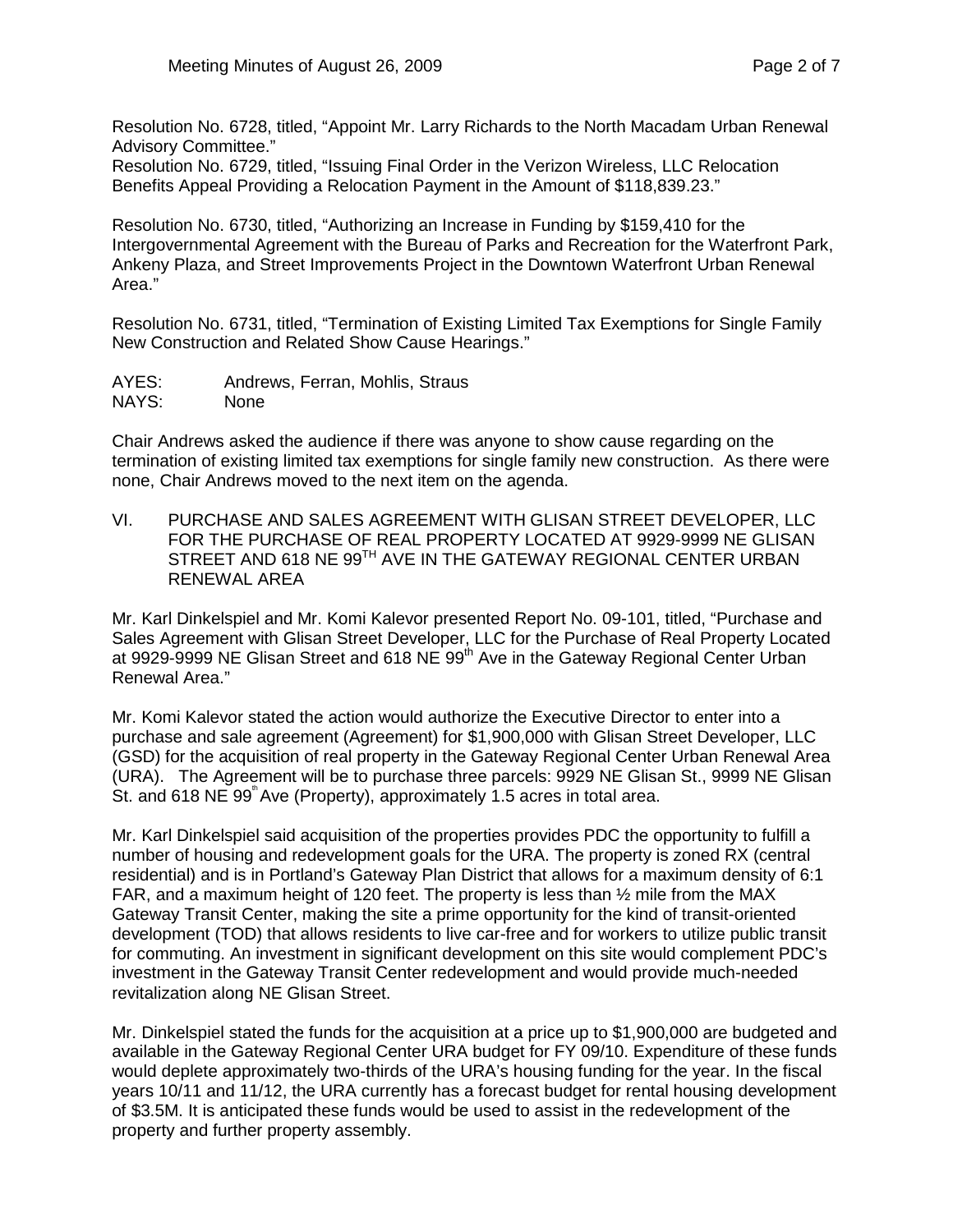Resolution No. 6728, titled, "Appoint Mr. Larry Richards to the North Macadam Urban Renewal Advisory Committee."

Resolution No. 6729, titled, "Issuing Final Order in the Verizon Wireless, LLC Relocation Benefits Appeal Providing a Relocation Payment in the Amount of \$118,839.23."

Resolution No. 6730, titled, "Authorizing an Increase in Funding by \$159,410 for the Intergovernmental Agreement with the Bureau of Parks and Recreation for the Waterfront Park, Ankeny Plaza, and Street Improvements Project in the Downtown Waterfront Urban Renewal Area."

Resolution No. 6731, titled, "Termination of Existing Limited Tax Exemptions for Single Family New Construction and Related Show Cause Hearings."

AYES: Andrews, Ferran, Mohlis, Straus NAYS: None

Chair Andrews asked the audience if there was anyone to show cause regarding on the termination of existing limited tax exemptions for single family new construction. As there were none, Chair Andrews moved to the next item on the agenda.

VI. PURCHASE AND SALES AGREEMENT WITH GLISAN STREET DEVELOPER, LLC FOR THE PURCHASE OF REAL PROPERTY LOCATED AT 9929-9999 NE GLISAN STREET AND 618 NE 99TH AVE IN THE GATEWAY REGIONAL CENTER URBAN RENEWAL AREA

Mr. Karl Dinkelspiel and Mr. Komi Kalevor presented Report No. 09-101, titled, "Purchase and Sales Agreement with Glisan Street Developer, LLC for the Purchase of Real Property Located at 9929-9999 NE Glisan Street and 618 NE 99<sup>th</sup> Ave in the Gateway Regional Center Urban Renewal Area."

Mr. Komi Kalevor stated the action would authorize the Executive Director to enter into a purchase and sale agreement (Agreement) for \$1,900,000 with Glisan Street Developer, LLC (GSD) for the acquisition of real property in the Gateway Regional Center Urban Renewal Area (URA). The Agreement will be to purchase three parcels: 9929 NE Glisan St., 9999 NE Glisan St. and 618 NE  $99^{\degree}$  Ave (Property), approximately 1.5 acres in total area.

Mr. Karl Dinkelspiel said acquisition of the properties provides PDC the opportunity to fulfill a number of housing and redevelopment goals for the URA. The property is zoned RX (central residential) and is in Portland's Gateway Plan District that allows for a maximum density of 6:1 FAR, and a maximum height of 120 feet. The property is less than  $\frac{1}{2}$  mile from the MAX Gateway Transit Center, making the site a prime opportunity for the kind of transit-oriented development (TOD) that allows residents to live car-free and for workers to utilize public transit for commuting. An investment in significant development on this site would complement PDC's investment in the Gateway Transit Center redevelopment and would provide much-needed revitalization along NE Glisan Street.

Mr. Dinkelspiel stated the funds for the acquisition at a price up to \$1,900,000 are budgeted and available in the Gateway Regional Center URA budget for FY 09/10. Expenditure of these funds would deplete approximately two-thirds of the URA's housing funding for the year. In the fiscal years 10/11 and 11/12, the URA currently has a forecast budget for rental housing development of \$3.5M. It is anticipated these funds would be used to assist in the redevelopment of the property and further property assembly.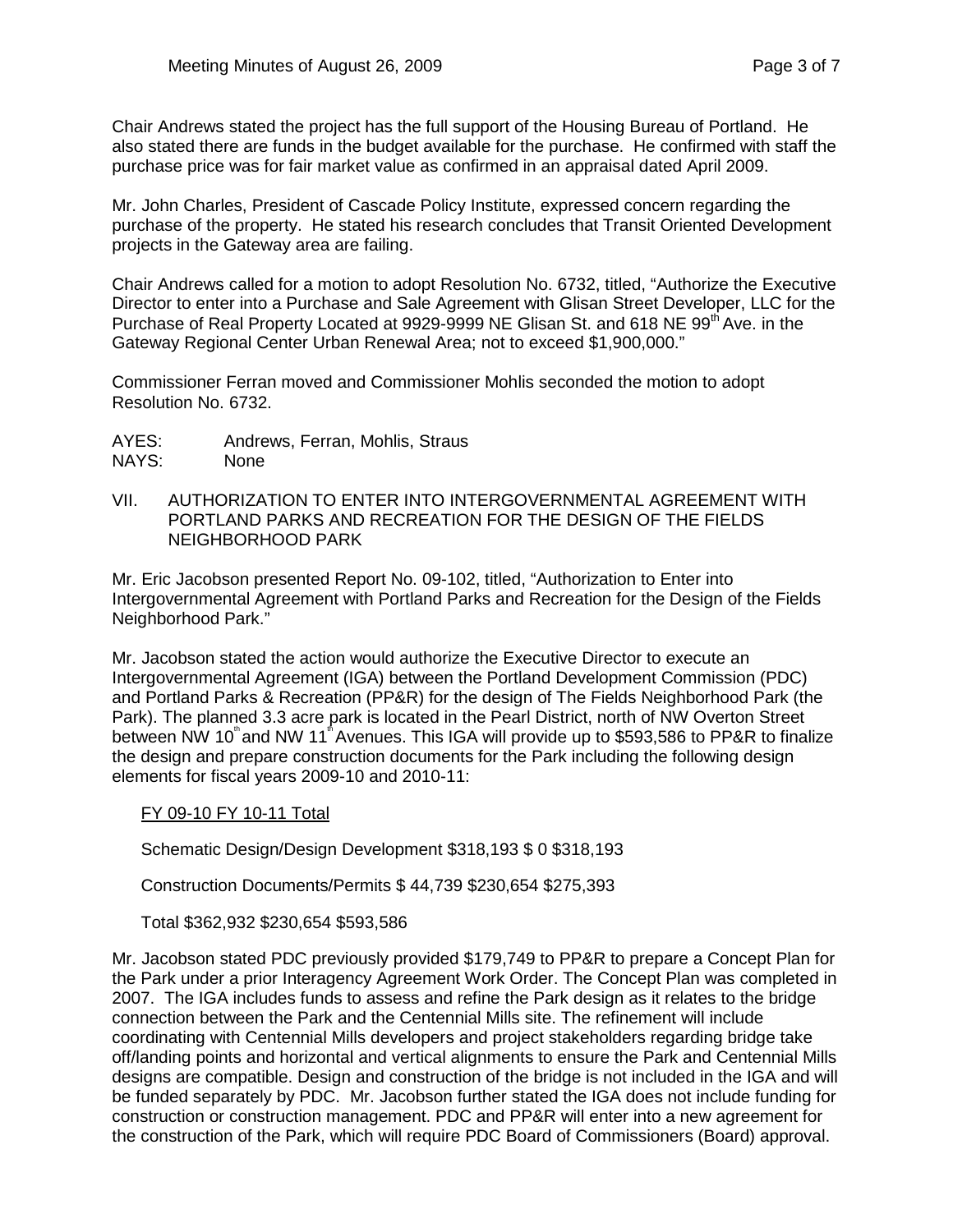Chair Andrews stated the project has the full support of the Housing Bureau of Portland. He also stated there are funds in the budget available for the purchase. He confirmed with staff the purchase price was for fair market value as confirmed in an appraisal dated April 2009.

Mr. John Charles, President of Cascade Policy Institute, expressed concern regarding the purchase of the property. He stated his research concludes that Transit Oriented Development projects in the Gateway area are failing.

Chair Andrews called for a motion to adopt Resolution No. 6732, titled, "Authorize the Executive Director to enter into a Purchase and Sale Agreement with Glisan Street Developer, LLC for the Purchase of Real Property Located at 9929-9999 NE Glisan St. and 618 NE 99th Ave. in the Gateway Regional Center Urban Renewal Area; not to exceed \$1,900,000."

Commissioner Ferran moved and Commissioner Mohlis seconded the motion to adopt Resolution No. 6732.

- AYES: Andrews, Ferran, Mohlis, Straus<br>NAYS: None
- NAYS:
- VII. AUTHORIZATION TO ENTER INTO INTERGOVERNMENTAL AGREEMENT WITH PORTLAND PARKS AND RECREATION FOR THE DESIGN OF THE FIELDS NEIGHBORHOOD PARK

Mr. Eric Jacobson presented Report No. 09-102, titled, "Authorization to Enter into Intergovernmental Agreement with Portland Parks and Recreation for the Design of the Fields Neighborhood Park."

Mr. Jacobson stated the action would authorize the Executive Director to execute an Intergovernmental Agreement (IGA) between the Portland Development Commission (PDC) and Portland Parks & Recreation (PP&R) for the design of The Fields Neighborhood Park (the Park). The planned 3.3 acre park is located in the Pearl District, north of NW Overton Street between NW 10<sup>th</sup> and NW 11<sup>th</sup> Avenues. This IGA will provide up to \$593,586 to PP&R to finalize the design and prepare construction documents for the Park including the following design elements for fiscal years 2009-10 and 2010-11:

## FY 09-10 FY 10-11 Total

Schematic Design/Design Development \$318,193 \$ 0 \$318,193

Construction Documents/Permits \$ 44,739 \$230,654 \$275,393

Total \$362,932 \$230,654 \$593,586

Mr. Jacobson stated PDC previously provided \$179,749 to PP&R to prepare a Concept Plan for the Park under a prior Interagency Agreement Work Order. The Concept Plan was completed in 2007. The IGA includes funds to assess and refine the Park design as it relates to the bridge connection between the Park and the Centennial Mills site. The refinement will include coordinating with Centennial Mills developers and project stakeholders regarding bridge take off/landing points and horizontal and vertical alignments to ensure the Park and Centennial Mills designs are compatible. Design and construction of the bridge is not included in the IGA and will be funded separately by PDC. Mr. Jacobson further stated the IGA does not include funding for construction or construction management. PDC and PP&R will enter into a new agreement for the construction of the Park, which will require PDC Board of Commissioners (Board) approval.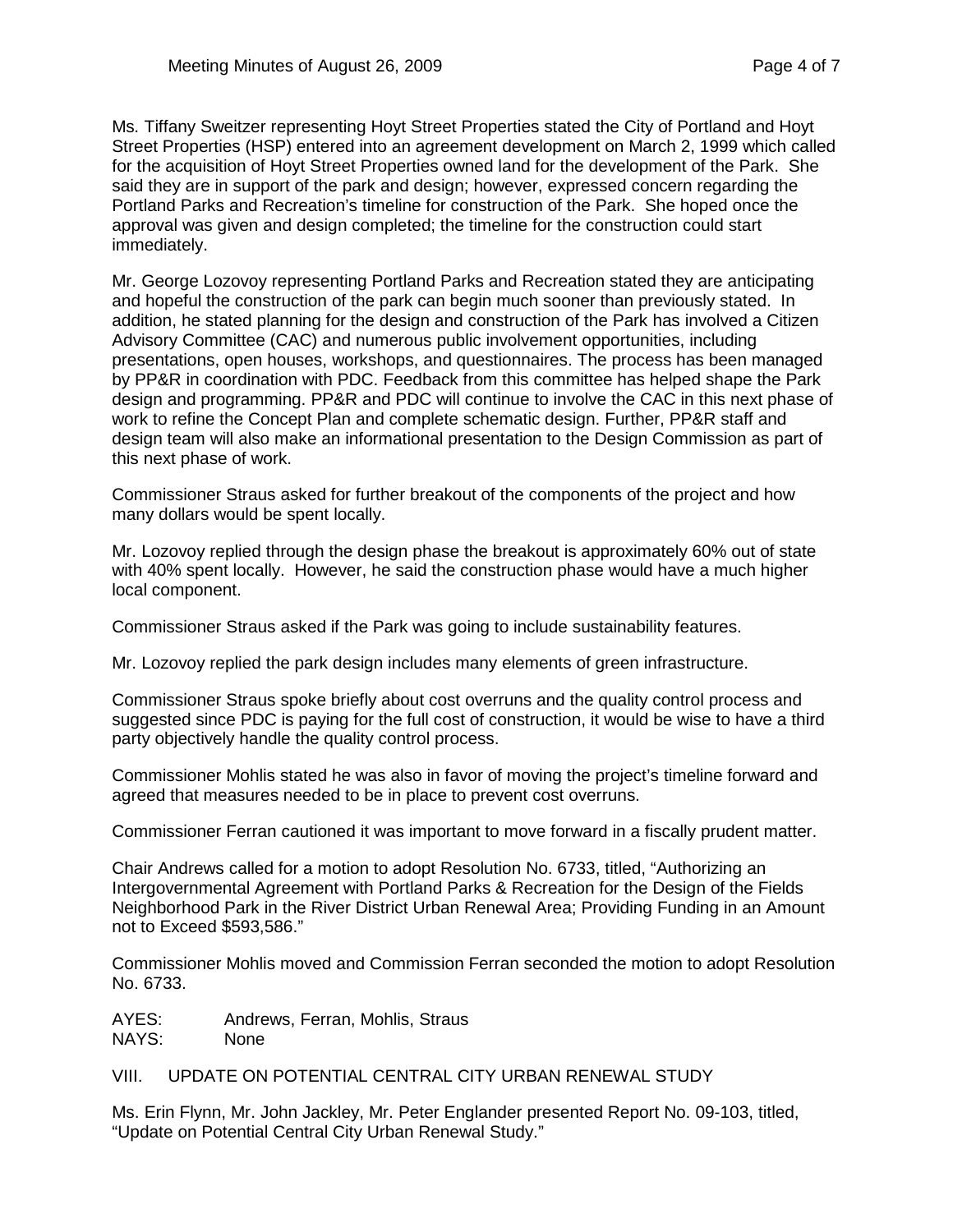Ms. Tiffany Sweitzer representing Hoyt Street Properties stated the City of Portland and Hoyt Street Properties (HSP) entered into an agreement development on March 2, 1999 which called for the acquisition of Hoyt Street Properties owned land for the development of the Park. She said they are in support of the park and design; however, expressed concern regarding the Portland Parks and Recreation's timeline for construction of the Park. She hoped once the approval was given and design completed; the timeline for the construction could start immediately.

Mr. George Lozovoy representing Portland Parks and Recreation stated they are anticipating and hopeful the construction of the park can begin much sooner than previously stated. In addition, he stated planning for the design and construction of the Park has involved a Citizen Advisory Committee (CAC) and numerous public involvement opportunities, including presentations, open houses, workshops, and questionnaires. The process has been managed by PP&R in coordination with PDC. Feedback from this committee has helped shape the Park design and programming. PP&R and PDC will continue to involve the CAC in this next phase of work to refine the Concept Plan and complete schematic design. Further, PP&R staff and design team will also make an informational presentation to the Design Commission as part of this next phase of work.

Commissioner Straus asked for further breakout of the components of the project and how many dollars would be spent locally.

Mr. Lozovoy replied through the design phase the breakout is approximately 60% out of state with 40% spent locally. However, he said the construction phase would have a much higher local component.

Commissioner Straus asked if the Park was going to include sustainability features.

Mr. Lozovoy replied the park design includes many elements of green infrastructure.

Commissioner Straus spoke briefly about cost overruns and the quality control process and suggested since PDC is paying for the full cost of construction, it would be wise to have a third party objectively handle the quality control process.

Commissioner Mohlis stated he was also in favor of moving the project's timeline forward and agreed that measures needed to be in place to prevent cost overruns.

Commissioner Ferran cautioned it was important to move forward in a fiscally prudent matter.

Chair Andrews called for a motion to adopt Resolution No. 6733, titled, "Authorizing an Intergovernmental Agreement with Portland Parks & Recreation for the Design of the Fields Neighborhood Park in the River District Urban Renewal Area; Providing Funding in an Amount not to Exceed \$593,586."

Commissioner Mohlis moved and Commission Ferran seconded the motion to adopt Resolution No. 6733.

AYES: Andrews, Ferran, Mohlis, Straus NAYS: None

VIII. UPDATE ON POTENTIAL CENTRAL CITY URBAN RENEWAL STUDY

Ms. Erin Flynn, Mr. John Jackley, Mr. Peter Englander presented Report No. 09-103, titled, "Update on Potential Central City Urban Renewal Study."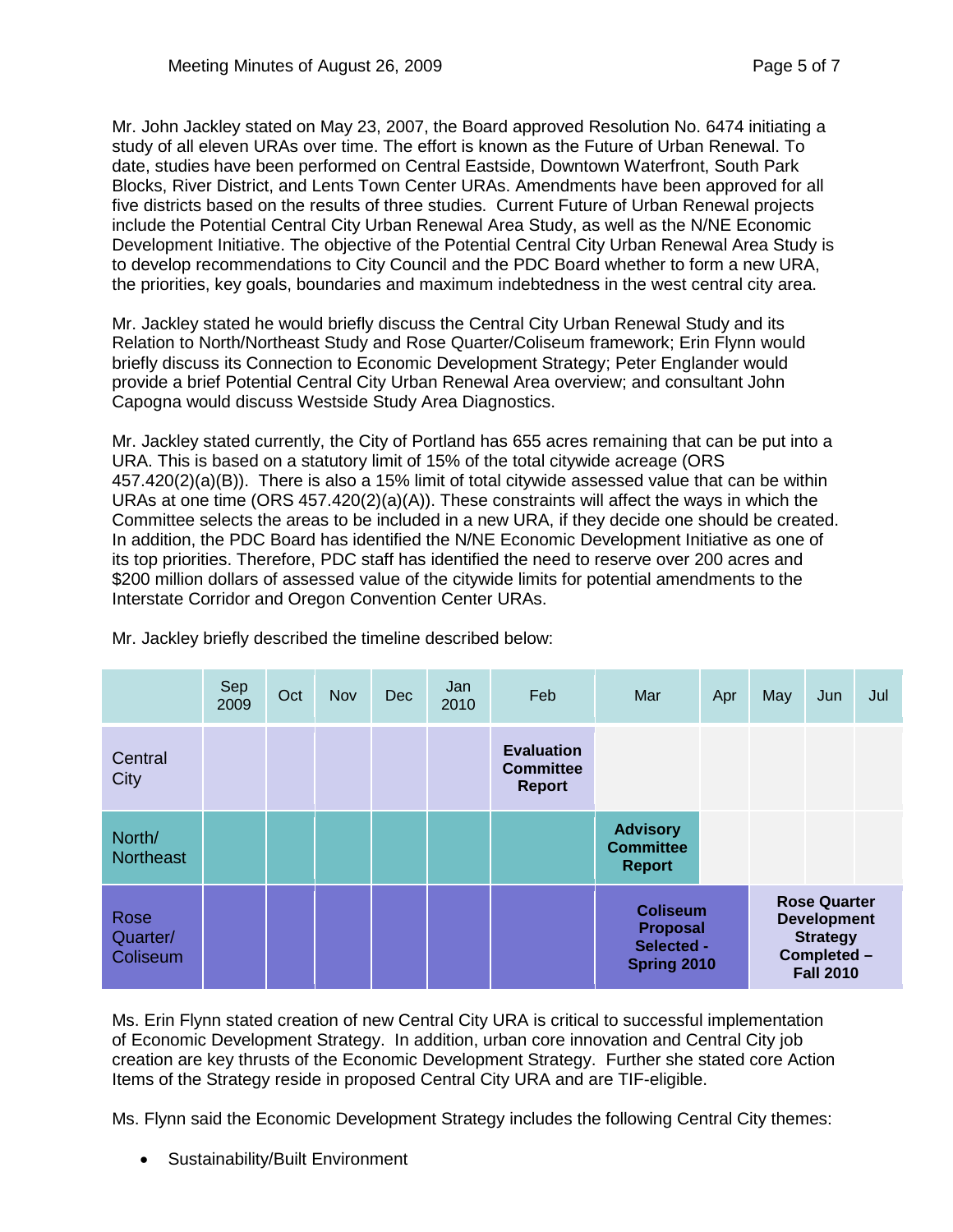Mr. John Jackley stated on May 23, 2007, the Board approved Resolution No. 6474 initiating a study of all eleven URAs over time. The effort is known as the Future of Urban Renewal. To date, studies have been performed on Central Eastside, Downtown Waterfront, South Park Blocks, River District, and Lents Town Center URAs. Amendments have been approved for all five districts based on the results of three studies. Current Future of Urban Renewal projects include the Potential Central City Urban Renewal Area Study, as well as the N/NE Economic Development Initiative. The objective of the Potential Central City Urban Renewal Area Study is to develop recommendations to City Council and the PDC Board whether to form a new URA, the priorities, key goals, boundaries and maximum indebtedness in the west central city area.

Mr. Jackley stated he would briefly discuss the Central City Urban Renewal Study and its Relation to North/Northeast Study and Rose Quarter/Coliseum framework; Erin Flynn would briefly discuss its Connection to Economic Development Strategy; Peter Englander would provide a brief Potential Central City Urban Renewal Area overview; and consultant John Capogna would discuss Westside Study Area Diagnostics.

Mr. Jackley stated currently, the City of Portland has 655 acres remaining that can be put into a URA. This is based on a statutory limit of 15% of the total citywide acreage (ORS 457.420(2)(a)(B)). There is also a 15% limit of total citywide assessed value that can be within URAs at one time  $(ORS 457.420(2)(a)(A))$ . These constraints will affect the ways in which the Committee selects the areas to be included in a new URA, if they decide one should be created. In addition, the PDC Board has identified the N/NE Economic Development Initiative as one of its top priorities. Therefore, PDC staff has identified the need to reserve over 200 acres and \$200 million dollars of assessed value of the citywide limits for potential amendments to the Interstate Corridor and Oregon Convention Center URAs.

|                              | Sep<br>2009 | Oct | <b>Nov</b> | <b>Dec</b> | Jan<br>2010 | Feb                                                    | Mar                                                             | Apr | May                                                                                             | Jun | Jul |
|------------------------------|-------------|-----|------------|------------|-------------|--------------------------------------------------------|-----------------------------------------------------------------|-----|-------------------------------------------------------------------------------------------------|-----|-----|
| Central<br>City              |             |     |            |            |             | <b>Evaluation</b><br><b>Committee</b><br><b>Report</b> |                                                                 |     |                                                                                                 |     |     |
| North/<br><b>Northeast</b>   |             |     |            |            |             |                                                        | <b>Advisory</b><br><b>Committee</b><br><b>Report</b>            |     |                                                                                                 |     |     |
| Rose<br>Quarter/<br>Coliseum |             |     |            |            |             |                                                        | <b>Coliseum</b><br><b>Proposal</b><br>Selected -<br>Spring 2010 |     | <b>Rose Quarter</b><br><b>Development</b><br><b>Strategy</b><br>Completed -<br><b>Fall 2010</b> |     |     |

Mr. Jackley briefly described the timeline described below:

Ms. Erin Flynn stated creation of new Central City URA is critical to successful implementation of Economic Development Strategy. In addition, urban core innovation and Central City job creation are key thrusts of the Economic Development Strategy. Further she stated core Action Items of the Strategy reside in proposed Central City URA and are TIF-eligible.

Ms. Flynn said the Economic Development Strategy includes the following Central City themes:

• Sustainability/Built Environment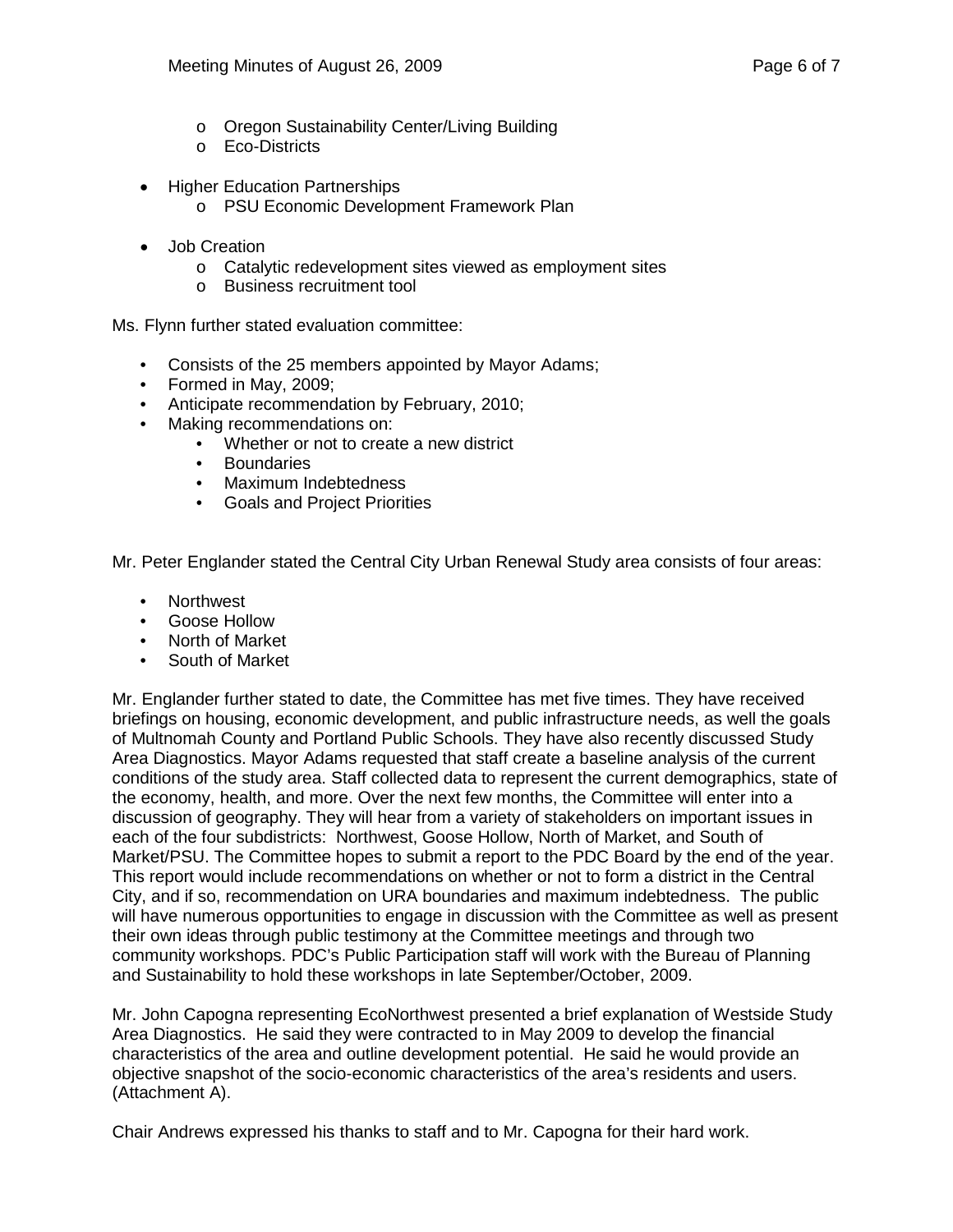- o Oregon Sustainability Center/Living Building
- o Eco-Districts
- Higher Education Partnerships
	- o PSU Economic Development Framework Plan
- Job Creation
	- o Catalytic redevelopment sites viewed as employment sites
	- o Business recruitment tool

Ms. Flynn further stated evaluation committee:

- Consists of the 25 members appointed by Mayor Adams;
- Formed in May, 2009;
- Anticipate recommendation by February, 2010;
- Making recommendations on:
	- Whether or not to create a new district
	- Boundaries
	- Maximum Indebtedness
	- Goals and Project Priorities

Mr. Peter Englander stated the Central City Urban Renewal Study area consists of four areas:

- Northwest
- Goose Hollow
- North of Market
- South of Market

Mr. Englander further stated to date, the Committee has met five times. They have received briefings on housing, economic development, and public infrastructure needs, as well the goals of Multnomah County and Portland Public Schools. They have also recently discussed Study Area Diagnostics. Mayor Adams requested that staff create a baseline analysis of the current conditions of the study area. Staff collected data to represent the current demographics, state of the economy, health, and more. Over the next few months, the Committee will enter into a discussion of geography. They will hear from a variety of stakeholders on important issues in each of the four subdistricts: Northwest, Goose Hollow, North of Market, and South of Market/PSU. The Committee hopes to submit a report to the PDC Board by the end of the year. This report would include recommendations on whether or not to form a district in the Central City, and if so, recommendation on URA boundaries and maximum indebtedness. The public will have numerous opportunities to engage in discussion with the Committee as well as present their own ideas through public testimony at the Committee meetings and through two community workshops. PDC's Public Participation staff will work with the Bureau of Planning and Sustainability to hold these workshops in late September/October, 2009.

Mr. John Capogna representing EcoNorthwest presented a brief explanation of Westside Study Area Diagnostics. He said they were contracted to in May 2009 to develop the financial characteristics of the area and outline development potential. He said he would provide an objective snapshot of the socio-economic characteristics of the area's residents and users. (Attachment A).

Chair Andrews expressed his thanks to staff and to Mr. Capogna for their hard work.